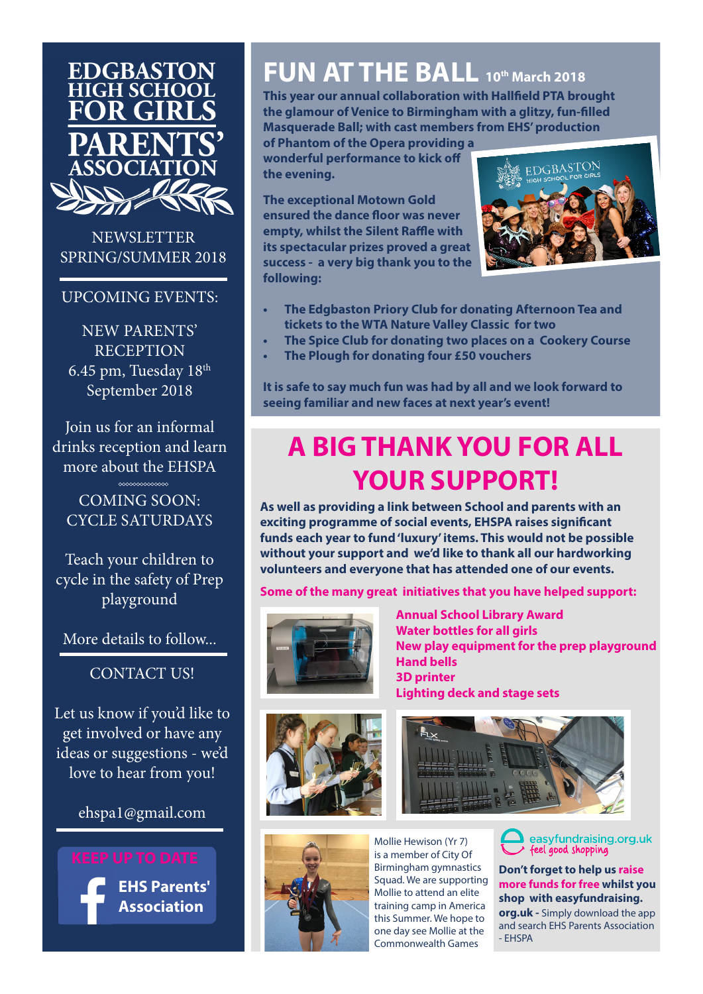

**NEWSLETTER** SPRING/SUMMER 2018

#### UPCOMING EVENTS:

NEW PARENTS' **RECEPTION** 6.45 pm, Tuesday 18th September 2018

Join us for an informal drinks reception and learn more about the EHSPA

COMING SOON: CYCLE SATURDAYS

 $\sim$ 

Teach your children to cycle in the safety of Prep playground

More details to follow...

CONTACT US!

Let us know if you'd like to get involved or have any ideas or suggestions - we'd love to hear from you!

ehspa1@gmail.com



## **FUN AT THE BALL 10th March 2018**

**This year our annual collaboration with Hallfield PTA brought the glamour of Venice to Birmingham with a glitzy, fun-filled Masquerade Ball; with cast members from EHS' production** 

**of Phantom of the Opera providing a wonderful performance to kick off the evening.**

**The exceptional Motown Gold ensured the dance floor was never empty, whilst the Silent Raffle with its spectacular prizes proved a great success - a very big thank you to the following:**



- **• The Edgbaston Priory Club for donating Afternoon Tea and tickets to the WTA Nature Valley Classic for two**
- **• The Spice Club for donating two places on a Cookery Course**
- **• The Plough for donating four £50 vouchers**

**It is safe to say much fun was had by all and we look forward to seeing familiar and new faces at next year's event!**

## **A BIG THANK YOU FOR ALL YOUR SUPPORT!**

**As well as providing a link between School and parents with an exciting programme of social events, EHSPA raises significant funds each year to fund 'luxury' items. This would not be possible without your support and we'd like to thank all our hardworking volunteers and everyone that has attended one of our events.**

**Some of the many great initiatives that you have helped support:**



**Annual School Library Award Water bottles for all girls New play equipment for the prep playground Hand bells 3D printer Lighting deck and stage sets**







Mollie Hewison (Yr 7) is a member of City Of Birmingham gymnastics Squad. We are supporting Mollie to attend an elite training camp in America this Summer. We hope to one day see Mollie at the Commonwealth Games

easyfundraising.org.uk<br>feel good shopping

**Don't forget to help us raise more funds for free whilst you shop with easyfundraising. org.uk -** Simply download the app

and search EHS Parents Association - EHSPA